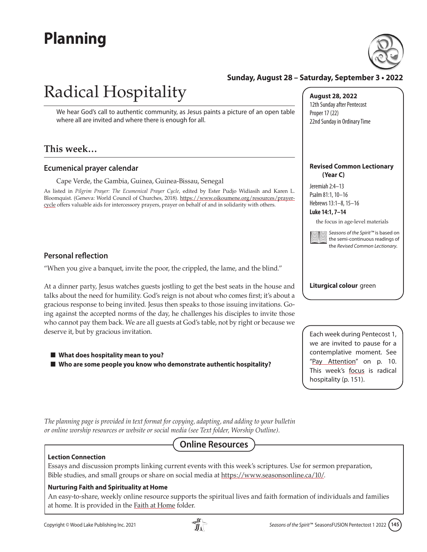## **Planning**



#### **Sunday, August 28 – Saturday, September 3 • 2022**

# Radical Hospitality

We hear God's call to authentic community, as Jesus paints a picture of an open table where all are invited and where there is enough for all.

#### **This week…**

#### **Ecumenical prayer calendar**

Cape Verde, the Gambia, Guinea, Guinea-Bissau, Senegal

As listed in *Pilgrim Prayer: The Ecumenical Prayer Cycle,* edited by Ester Pudjo Widiasih and Karen L. Bloomquist. (Geneva: World Council of Churches, 2018). [https://www.oikoumene.org/resources/prayer](https://www.oikoumene.org/resources/prayer-cycle)[cycle o](https://www.oikoumene.org/resources/prayer-cycle)ffers valuable aids for intercessory prayers, prayer on behalf of and in solidarity with others.

#### **Personal reflection**

"When you give a banquet, invite the poor, the crippled, the lame, and the blind."

At a dinner party, Jesus watches guests jostling to get the best seats in the house and talks about the need for humility. God's reign is not about who comes first; it's about a gracious response to being invited. Jesus then speaks to those issuing invitations. Going against the accepted norms of the day, he challenges his disciples to invite those who cannot pay them back. We are all guests at God's table, not by right or because we deserve it, but by gracious invitation.

- What does hospitality mean to you?
- Who are some people you know who demonstrate authentic hospitality?

**August 28, 2022** 12th Sunday after Pentecost Proper 17 (22) 22nd Sunday in Ordinary Time

#### **Revised Common Lectionary (Year C)**

Jeremiah 2:4–13 Psalm 81:1, 10–16 Hebrews 13:1–8, 15–16

#### **Luke 14:1, 7–14**

the focus in age-level materials



*Seasons of the Spirit™* is based on the semi-continuous readings of the *Revised Common Lectionary.*

**Liturgical colour** green

Each week during Pentecost 1, we are invited to pause for a contemplative moment. See "Pay Attention" on p. 10. This week's [focus](#page-6-0) is radical hospitality (p. 151).

*The planning page is provided in text format for copying, adapting, and adding to your bulletin or online worship resources or website or social media (see Text folder, Worship Outline).* 

### **Online Resources**

Essays and discussion prompts linking current events with this week's scriptures. Use for sermon preparation, Bible studies, and small groups or share on social media at [https://www.seasonsonline.ca/10/.](https://www.seasonsonline.ca/10/)

#### **Nurturing Faith and Spirituality at Home**

An easy-to-share, weekly online resource supports the spiritual lives and faith formation of individuals and families at home. It is provided in the Faith at Home folder.

**Lection Connection**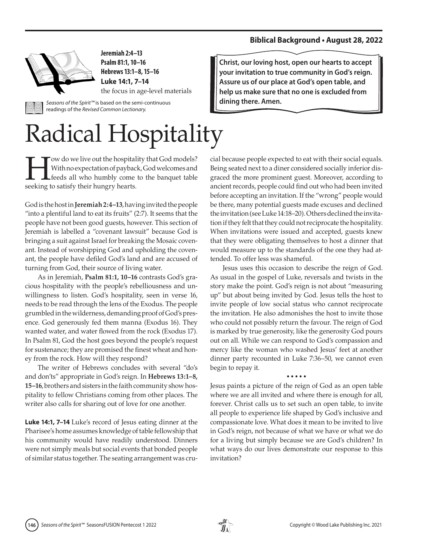#### **Biblical Background • August 28, 2022**



**Jeremiah 2:4–13 Psalm 81:1, 10–16 Hebrews 13:1–8, 15–16 Luke 14:1, 7–14** 

the focus in age-level materials

*Seasons of the Spirit™* is based on the semi-continuous readings of the *Revised Common Lectionary.*

# Radical Hospitality

With no expectation of payback, God welcomes and<br>feeds all who humbly come to the banquet table<br>socking to satisfy their hungry bearts. With no expectation of payback, God welcomes and feeds all who humbly come to the banquet table seeking to satisfy their hungry hearts.

God is the host in **Jeremiah 2:4–13**, having invited the people "into a plentiful land to eat its fruits" (2:7). It seems that the people have not been good guests, however. This section of Jeremiah is labelled a "covenant lawsuit" because God is bringing a suit against Israel for breaking the Mosaic covenant. Instead of worshipping God and upholding the covenant, the people have defiled God's land and are accused of turning from God, their source of living water.

As in Jeremiah, **Psalm 81:1, 10–16** contrasts God's gracious hospitality with the people's rebelliousness and unwillingness to listen. God's hospitality, seen in verse 16, needs to be read through the lens of the Exodus. The people grumbled in the wilderness, demanding proof of God's presence. God generously fed them manna (Exodus 16). They wanted water, and water flowed from the rock (Exodus 17). In Psalm 81, God the host goes beyond the people's request for sustenance; they are promised the finest wheat and honey from the rock. How will they respond?

The writer of Hebrews concludes with several "do's and don'ts" appropriate in God's reign. In **Hebrews 13:1–8, 15–16**, brothers and sisters in the faith community show hospitality to fellow Christians coming from other places. The writer also calls for sharing out of love for one another.

**Luke 14:1, 7–14** Luke's record of Jesus eating dinner at the Pharisee's home assumes knowledge of table fellowship that his community would have readily understood. Dinners were not simply meals but social events that bonded people of similar status together. The seating arrangement was cru**Christ, our loving host, open our hearts to accept your invitation to true community in God's reign. Assure us of our place at God's open table, and help us make sure that no one is excluded from dining there. Amen.**

cial because people expected to eat with their social equals. Being seated next to a diner considered socially inferior disgraced the more prominent guest. Moreover, according to ancient records, people could find out who had been invited before accepting an invitation. If the "wrong" people would be there, many potential guests made excuses and declined the invitation (see Luke 14:18–20). Others declined the invitation if they felt that they could not reciprocate the hospitality. When invitations were issued and accepted, guests knew that they were obligating themselves to host a dinner that would measure up to the standards of the one they had attended. To offer less was shameful.

Jesus uses this occasion to describe the reign of God. As usual in the gospel of Luke, reversals and twists in the story make the point. God's reign is not about "measuring up" but about being invited by God. Jesus tells the host to invite people of low social status who cannot reciprocate the invitation. He also admonishes the host to invite those who could not possibly return the favour. The reign of God is marked by true generosity, like the generosity God pours out on all. While we can respond to God's compassion and mercy like the woman who washed Jesus' feet at another dinner party recounted in Luke 7:36–50, we cannot even begin to repay it.

#### **• • • • •**

Jesus paints a picture of the reign of God as an open table where we are all invited and where there is enough for all, forever. Christ calls us to set such an open table, to invite all people to experience life shaped by God's inclusive and compassionate love. What does it mean to be invited to live in God's reign, not because of what we have or what we do for a living but simply because we are God's children? In what ways do our lives demonstrate our response to this invitation?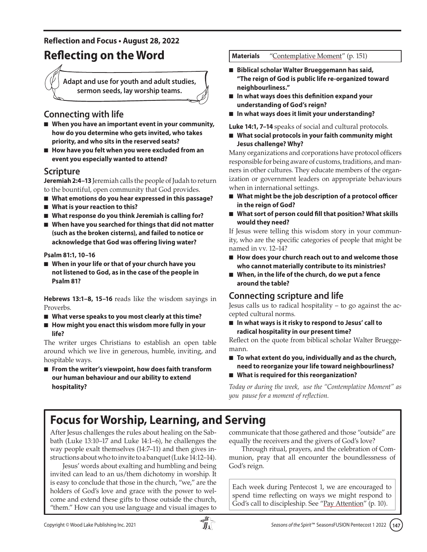#### **Reflection and Focus • August 28, 2022**

### **Reflecting on the Word Materials** ["Contemplative Moment"](#page-6-0) (p. 151)

**Adapt and use for youth and adult studies, sermon seeds, lay worship teams.**

### **Connecting with life**

- When you have an important event in your community, **how do you determine who gets invited, who takes priority, and who sits in the reserved seats?**
- How have you felt when you were excluded from an **event you especially wanted to attend?**

#### **Scripture**

**Jeremiah 2:4–13** Jeremiah calls the people of Judah to return to the bountiful, open community that God provides.

- What emotions do you hear expressed in this passage?
- What is your reaction to this?
- What response do you think Jeremiah is calling for?
- When have you searched for things that did not matter **(such as the broken cisterns), and failed to notice or acknowledge that God was offering living water?**

**Psalm 81:1, 10–16**

■ When in your life or that of your church have you **not listened to God, as in the case of the people in Psalm 81?**

**Hebrews 13:1–8, 15–16** reads like the wisdom sayings in Proverbs.

- What verse speaks to you most clearly at this time?
- How might you enact this wisdom more fully in your **life?**

The writer urges Christians to establish an open table around which we live in generous, humble, inviting, and hospitable ways.

■ From the writer's viewpoint, how does faith transform **our human behaviour and our ability to extend hospitality?**

- Biblical scholar Walter Brueggemann has said, **"The reign of God is public life re-organized toward neighbourliness."**
- In what ways does this definition expand your **understanding of God's reign?**
- In what ways does it limit your understanding?

**Luke 14:1, 7–14** speaks of social and cultural protocols.

■ What social protocols in your faith community might **Jesus challenge? Why?**

Many organizations and corporations have protocol officers responsible for being aware of customs, traditions, and manners in other cultures. They educate members of the organization or government leaders on appropriate behaviours when in international settings.

- What might be the job description of a protocol officer **in the reign of God?**
- What sort of person could fill that position? What skills **would they need?**

If Jesus were telling this wisdom story in your community, who are the specific categories of people that might be named in vv. 12–14?

- How does your church reach out to and welcome those **who cannot materially contribute to its ministries?**
- When, in the life of the church, do we put a fence **around the table?**

### **Connecting scripture and life**

Jesus calls us to radical hospitality – to go against the accepted cultural norms.

■ In what ways is it risky to respond to Jesus' call to **radical hospitality in our present time?**

Reflect on the quote from biblical scholar Walter Brueggemann.

- To what extent do you, individually and as the church, **need to reorganize your life toward neighbourliness?**
- What is required for this reorganization?

*Today or during the week, use the "Contemplative Moment" as you pause for a moment of reflection.*

### **Focus for Worship, Learning, and Serving**

After Jesus challenges the rules about healing on the Sabbath (Luke 13:10–17 and Luke 14:1–6), he challenges the way people exalt themselves (14:7–11) and then gives instructions about who to invite to a banquet (Luke 14:12–14).

Jesus' words about exalting and humbling and being invited can lead to an us/them dichotomy in worship. It is easy to conclude that those in the church, "we," are the holders of God's love and grace with the power to welcome and extend these gifts to those outside the church, "them." How can you use language and visual images to communicate that those gathered and those "outside" are equally the receivers and the givers of God's love?

Through ritual, prayers, and the celebration of Communion, pray that all encounter the boundlessness of God's reign.

Each week during Pentecost 1, we are encouraged to spend time reflecting on ways we might respond to God's call to discipleship. See "Pay Attention" (p. 10).

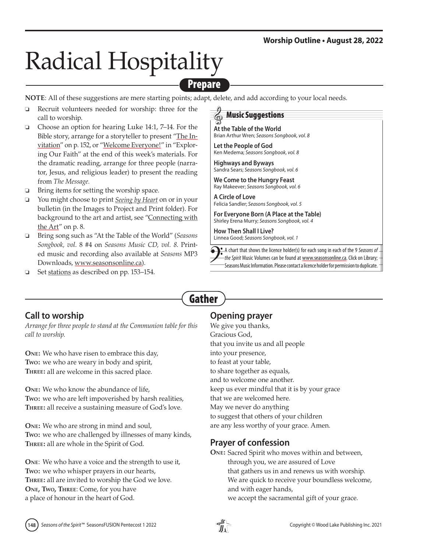# Radical Hospitality

### Prepare

**NOTE**: All of these suggestions are mere starting points; adapt, delete, and add according to your local needs.

- Recruit volunteers needed for worship: three for the call to worship.
- $\Box$  Choose an option for hearing Luke 14:1, 7–14. For the Bible story, arrange for a storyteller to present ["The In](#page-7-0)[vitation"](#page-7-0) on p. 152, or ["Welcome Everyone!"](#page-10-0) in "Exploring Our Faith" at the end of this week's materials. For the dramatic reading, arrange for three people (narrator, Jesus, and religious leader) to present the reading from *The Message.*
- $\Box$  Bring items for setting the worship space.
- □ You might choose to print *Seeing by Heart* on or in your bulletin (in the Images to Project and Print folder). For background to the art and artist, see "Connecting with the Art" on p. 8.
- □ Bring song such as "At the Table of the World" (*Seasons Songbook, vol*. 8 #4 on *Seasons Music CD, vol. 8*. Printed music and recording also available at *Seasons* MP3 Downloads, [www.seasonsonline.ca\).](https://www.seasonsonline.ca/order_products/)
- □ Se[t stations](#page-8-0) as described on pp. 153–154.

#### Music Suggestions

- **At the Table of the World** Brian Arthur Wren; *Seasons Songbook, vol. 8*
- **Let the People of God** Ken Medema; *Seasons Songbook, vol. 8*
- **Highways and Byways** Sandra Sears; *Seasons Songbook, vol. 6*

**We Come to the Hungry Feast** Ray Makeever; *Seasons Songbook, vol. 6*

**A Circle of Love** Felicia Sandler; *Seasons Songbook, vol. 5*

**For Everyone Born (A Place at the Table)** Shirley Erena Murry; *Seasons Songbook, vol. 4*

**How Then Shall I Live?** Linnea Good; *Seasons Songbook, vol. 1*

A chart that shows the licence holder(s) for each song in each of the 9 *Seasons of the Spirit* Music Volumes can be found at [www.seasonsonline.ca.](http://www.seasonsonline.ca/11/seasons_music_license_chart/) Click on Library; Seasons Music Information. Please contact a licence holder for permission to duplicate.

### **Call to worship**

*Arrange for three people to stand at the Communion table for this call to worship.*

**One:** We who have risen to embrace this day, **Two:** we who are weary in body and spirit, **Three:** all are welcome in this sacred place.

**One:** We who know the abundance of life, **Two:** we who are left impoverished by harsh realities, **Three:** all receive a sustaining measure of God's love.

**One:** We who are strong in mind and soul, **Two:** we who are challenged by illnesses of many kinds, **Three:** all are whole in the Spirit of God.

**One**: We who have a voice and the strength to use it, **Two:** we who whisper prayers in our hearts, **Three:** all are invited to worship the God we love. **One, Two, Three**: Come, for you have a place of honour in the heart of God.

#### **Opening prayer**

Gather

We give you thanks, Gracious God, that you invite us and all people into your presence, to feast at your table, to share together as equals, and to welcome one another. keep us ever mindful that it is by your grace that we are welcomed here. May we never do anything to suggest that others of your children are any less worthy of your grace. Amen.

### **Prayer of confession**

**One:** Sacred Spirit who moves within and between, through you, we are assured of Love that gathers us in and renews us with worship.

- We are quick to receive your boundless welcome, and with eager hands,
- we accept the sacramental gift of your grace.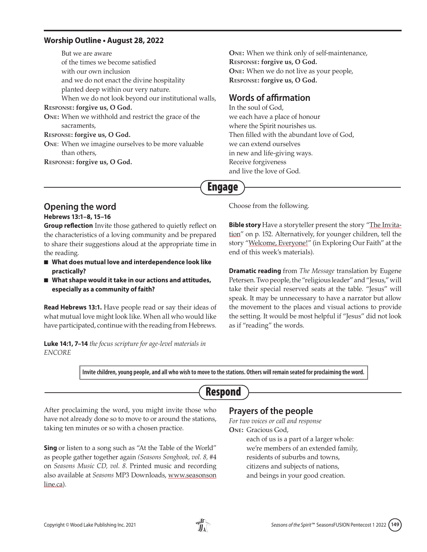#### **Worship Outline • August 28, 2022**

But we are aware of the times we become satisfied with our own inclusion and we do not enact the divine hospitality planted deep within our very nature. When we do not look beyond our institutional walls, **Response: forgive us, O God. One:** When we withhold and restrict the grace of the sacraments, **Response: forgive us, O God. One**: When we imagine ourselves to be more valuable than others, **Response: forgive us, O God.**

**One:** When we think only of self-maintenance, **Response: forgive us, O God. One:** When we do not live as your people, **Response: forgive us, O God.**

#### **Words of affirmation**

In the soul of God, we each have a place of honour where the Spirit nourishes us. Then filled with the abundant love of God, we can extend ourselves in new and life-giving ways. Receive forgiveness and live the love of God.

### Engage

**Opening the word**

**Hebrews 13:1–8, 15–16**

**Group reflection** Invite those gathered to quietly reflect on the characteristics of a loving community and be prepared to share their suggestions aloud at the appropriate time in the reading.

- What does mutual love and interdependence look like **practically?**
- What shape would it take in our actions and attitudes, **especially as a community of faith?**

**Read Hebrews 13:1.** Have people read or say their ideas of what mutual love might look like. When all who would like have participated, continue with the reading from Hebrews.

**Luke 14:1, 7–14** *the focus scripture for age-level materials in ENCORE*

Choose from the following.

**Bible story** Have a storyteller present the story ["The Invita](#page-7-0)[tion"](#page-7-0) on p. 152. Alternatively, for younger children, tell the story ["Welcome, Everyone!"](#page-10-0) (in Exploring Our Faith" at the end of this week's materials).

**Dramatic reading** from *The Message* translation by Eugene Petersen. Two people, the "religious leader" and "Jesus," will take their special reserved seats at the table. "Jesus" will speak. It may be unnecessary to have a narrator but allow the movement to the places and visual actions to provide the setting. It would be most helpful if "Jesus" did not look as if "reading" the words.

**Invite children, young people, and all who wish to move to the stations. Others will remain seated for proclaiming the word.**

### Respond

After proclaiming the word, you might invite those who have not already done so to move to or around the stations, taking ten minutes or so with a chosen practice.

**Sing** or listen to a song such as "At the Table of the World" as people gather together again *(Seasons Songbook, vol. 8,* #4 on *Seasons Music CD, vol. 8.* Printed music and recording also available at *Seasons* MP3 Downloads[, www.seasonson](https://www.seasonsonline.ca/order_products/) [line.ca\).](https://www.seasonsonline.ca/order_products/)

### **Prayers of the people**

*For two voices or call and response* **One:** Gracious God,

> each of us is a part of a larger whole: we're members of an extended family, residents of suburbs and towns, citizens and subjects of nations, and beings in your good creation.

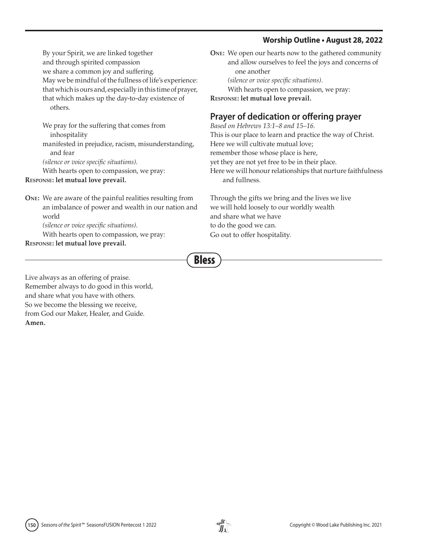#### **Worship Outline • August 28, 2022**

By your Spirit, we are linked together and through spirited compassion we share a common joy and suffering. May we be mindful of the fullness of life's experience: that which is ours and, especially in this time of prayer, that which makes up the day-to-day existence of others.

We pray for the suffering that comes from inhospitality

manifested in prejudice, racism, misunderstanding, and fear

*(silence or voice specific situations)*.

With hearts open to compassion, we pray:

#### **Response: let mutual love prevail.**

#### **One:** We are aware of the painful realities resulting from an imbalance of power and wealth in our nation and world

*(silence or voice specific situations)*.

With hearts open to compassion, we pray: **Response: let mutual love prevail.**

**One:** We open our hearts now to the gathered community and allow ourselves to feel the joys and concerns of one another *(silence or voice specific situations).* With hearts open to compassion, we pray:

**Response: let mutual love prevail.**

#### **Prayer of dedication or offering prayer**

*Based on Hebrews 13:1–8 and 15–16.*

This is our place to learn and practice the way of Christ.

Here we will cultivate mutual love;

remember those whose place is here,

yet they are not yet free to be in their place.

Here we will honour relationships that nurture faithfulness and fullness.

Through the gifts we bring and the lives we live we will hold loosely to our worldly wealth and share what we have to do the good we can. Go out to offer hospitality.

Bless

Live always as an offering of praise. Remember always to do good in this world, and share what you have with others. So we become the blessing we receive, from God our Maker, Healer, and Guide. **Amen.**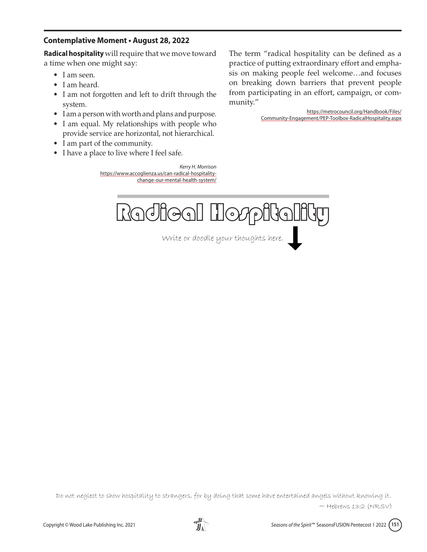#### <span id="page-6-0"></span>**Contemplative Moment • August 28, 2022**

**Radical hospitality** will require that we move toward a time when one might say:

- I am seen.
- I am heard.
- I am not forgotten and left to drift through the system.
- I am a person with worth and plans and purpose.
- I am equal. My relationships with people who provide service are horizontal, not hierarchical.
- I am part of the community.
- I have a place to live where I feel safe.

*Kerry H. Morrison*  https://www.accoglienza.us/can-radical-hospitalitychange-our-mental-health-system/

The term "radical hospitality can be defined as a practice of putting extraordinary effort and emphasis on making people feel welcome…and focuses on breaking down barriers that prevent people from participating in an effort, campaign, or community."

> [https://metrocouncil.org/Handbook/Files/](https://metrocouncil.org/Handbook/Files/Community-Engagement/PEP-Toolbox-RadicalHospitality.aspx) [Community-Engagement/PEP-Toolbox-RadicalHospitality.aspx](https://metrocouncil.org/Handbook/Files/Community-Engagement/PEP-Toolbox-RadicalHospitality.aspx)



Write or doodle your thoughts here.

Do not neglect to show hospitality to strangers, for by doing that some have entertained angels without knowing it.  $\sim$  Hebrews 13:2 (NRSV)

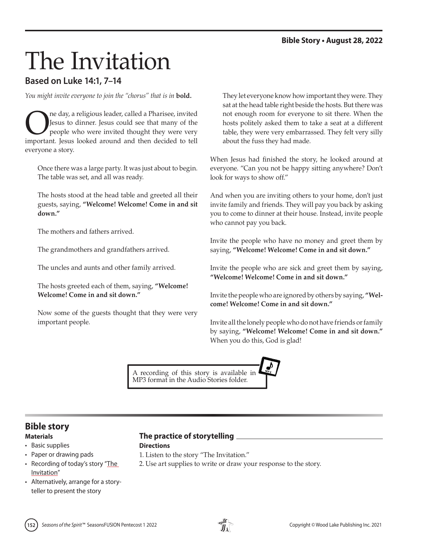# <span id="page-7-0"></span>The Invitation

#### **Based on Luke 14:1, 7–14**

*You might invite everyone to join the "chorus" that is in* **bold.**

The day, a religious leader, called a Pharisee, invited<br>Jesus to dinner. Jesus could see that many of the<br>people who were invited thought they were very<br>important Jesus looked around and then decided to tell Jesus to dinner. Jesus could see that many of the people who were invited thought they were very important. Jesus looked around and then decided to tell everyone a story.

Once there was a large party. It was just about to begin. The table was set, and all was ready.

The hosts stood at the head table and greeted all their guests, saying, **"Welcome! Welcome! Come in and sit down."**

The mothers and fathers arrived.

The grandmothers and grandfathers arrived.

The uncles and aunts and other family arrived.

The hosts greeted each of them, saying, **"Welcome! Welcome! Come in and sit down."**

Now some of the guests thought that they were very important people.

They let everyone know how important they were. They sat at the head table right beside the hosts. But there was not enough room for everyone to sit there. When the hosts politely asked them to take a seat at a different table, they were very embarrassed. They felt very silly about the fuss they had made.

When Jesus had finished the story, he looked around at everyone. "Can you not be happy sitting anywhere? Don't look for ways to show off."

And when you are inviting others to your home, don't just invite family and friends. They will pay you back by asking you to come to dinner at their house. Instead, invite people who cannot pay you back.

Invite the people who have no money and greet them by saying, **"Welcome! Welcome! Come in and sit down."**

Invite the people who are sick and greet them by saying, **"Welcome! Welcome! Come in and sit down."**

Invite the people who are ignored by others by saying, **"Welcome! Welcome! Come in and sit down."**

Invite all the lonely people who do not have friends or family by saying, **"Welcome! Welcome! Come in and sit down."** When you do this, God is glad!

A recording of this story is available in MP3 format in the Audio Stories folder.

# **Bible story**

- Basic supplies
- Paper or drawing pads
- Recording of today's story "The Invitation"
- Alternatively, arrange for a storyteller to present the story

#### **Materials The practice of storytelling**

**Directions**

- 1. Listen to the story "The Invitation."
- 2. Use art supplies to write or draw your response to the story.

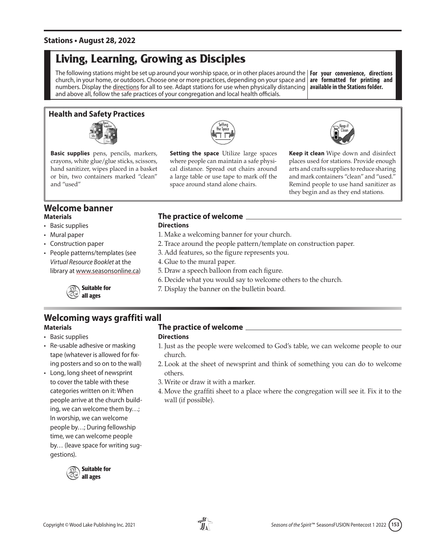#### <span id="page-8-0"></span>**Stations • August 28, 2022**

### **Living, Learning, Growing as Disciples**

The following stations might be set up around your worship space, or in other places around the **For your convenience, directions**  church, in your home, or outdoors. Choose one or more practices, depending on your space and **are formatted for printing and**  numbers. Display the directions for all to see. Adapt stations for use when physically distancing **available in the Stations folder.** and above all, follow the safe practices of your congregation and local health officials.

#### **Health and Safety Practices**



**Basic supplies** pens, pencils, markers, crayons, white glue/glue sticks, scissors, hand sanitizer, wipes placed in a basket or bin, two containers marked "clean" and "used"



**Setting the space** Utilize large spaces where people can maintain a safe physical distance. Spread out chairs around a large table or use tape to mark off the space around stand alone chairs.



**Keep it clean** Wipe down and disinfect places used for stations. Provide enough arts and crafts supplies to reduce sharing and mark containers "clean" and "used." Remind people to use hand sanitizer as they begin and as they end stations.

### **Welcome banner**

- Basic supplies
- Mural paper
- Construction paper
- People patterns/templates (see *Virtual Resource Booklet* at the library at [www.seasonsonline.ca\)](www.seasonsonline.ca/11/virtual-resource-booklet/)

**Suitable for all ages**

#### **Materials The practice of welcome**

#### **Directions**

- 1. Make a welcoming banner for your church.
- 2. Trace around the people pattern/template on construction paper.
- 3. Add features, so the figure represents you.
- 4. Glue to the mural paper.
- 5. Draw a speech balloon from each figure.
- 6. Decide what you would say to welcome others to the church.
- 7. Display the banner on the bulletin board.

### **Welcoming ways graffiti wall**

- Basic supplies
- Re-usable adhesive or masking tape (whatever is allowed for fixing posters and so on to the wall)
- Long, long sheet of newsprint to cover the table with these categories written on it: When people arrive at the church building, we can welcome them by…; In worship, we can welcome people by…; During fellowship time, we can welcome people by… (leave space for writing suggestions).



#### **Materials The practice of welcome**

#### **Directions**

- 1. Just as the people were welcomed to God's table, we can welcome people to our church.
- 2. Look at the sheet of newsprint and think of something you can do to welcome others.
- 3. Write or draw it with a marker.
- 4. Move the graffiti sheet to a place where the congregation will see it. Fix it to the wall (if possible).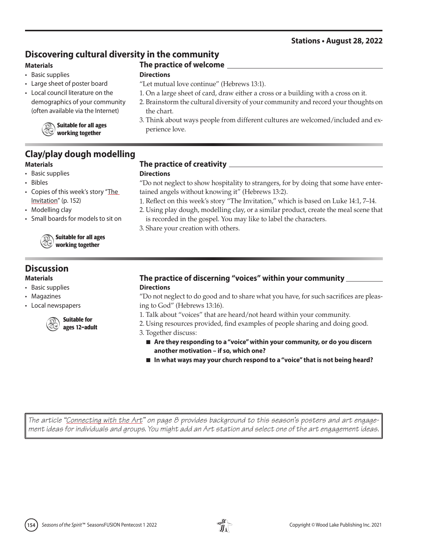#### **Stations • August 28, 2022**

#### **Discovering cultural diversity in the community**

#### **Materials**

- Basic supplies
- Large sheet of poster board
- Local council literature on the demographics of your community (often available via the Internet)



**Suitable for all ages working together**

## **Clay/play dough modelling**

- Basic supplies
- Bibles
- Copies of this week's story "The [Invitation"](#page-7-0) (p. 152)
- Modelling clay
- Small boards for models to sit on

**Suitable for all ages working together**

#### **Discussion**

- Basic supplies
- Magazines
- Local newspapers



#### **Materials The practice of creativity**

**The practice of welcome**

"Let mutual love continue" (Hebrews 13:1).

#### **Directions**

**Directions**

the chart.

perience love.

"Do not neglect to show hospitality to strangers, for by doing that some have entertained angels without knowing it" (Hebrews 13:2).

1. Reflect on this week's story "The Invitation," which is based on Luke 14:1, 7–14.

1. On a large sheet of card, draw either a cross or a building with a cross on it. 2. Brainstorm the cultural diversity of your community and record your thoughts on

3. Think about ways people from different cultures are welcomed/included and ex-

2. Using play dough, modelling clay, or a similar product, create the meal scene that is recorded in the gospel. You may like to label the characters.

3. Share your creation with others.

#### **Materials The practice of discerning "voices" within your community Directions**

"Do not neglect to do good and to share what you have, for such sacrifices are pleasing to God" (Hebrews 13:16).

- 1. Talk about "voices" that are heard/not heard within your community.
- 2. Using resources provided, find examples of people sharing and doing good.
- 3. Together discuss:
	- Are they responding to a "voice" within your community, or do you discern **another motivation – if so, which one?**
	- In what ways may your church respond to a "voice" that is not being heard?

*The article "Connecting with the Art" on page 8 provides background to this season's posters and art engagement ideas for individuals and groups. You might add an Art station and select one of the art engagement ideas*.



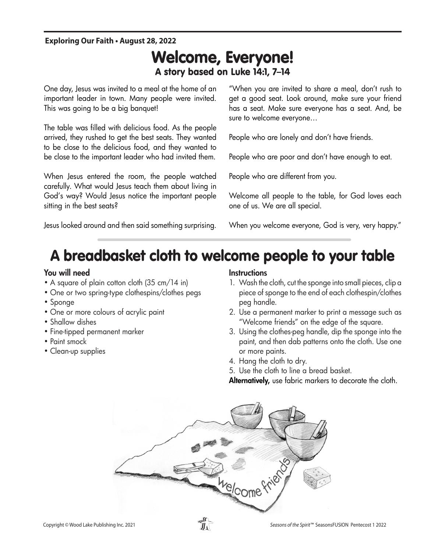#### <span id="page-10-0"></span>**Exploring Our Faith • August 28, 2022**

### Welcome, Everyone! A story based on Luke 14:1, 7–14

One day, Jesus was invited to a meal at the home of an important leader in town. Many people were invited. This was going to be a big banquet!

The table was filled with delicious food. As the people arrived, they rushed to get the best seats. They wanted to be close to the delicious food, and they wanted to be close to the important leader who had invited them.

When Jesus entered the room, the people watched carefully. What would Jesus teach them about living in careruny. vynar would jesus reach mem abour living in<br>God's way? Would Jesus notice the important people sitting in the best seats?

Jesus looked around and then said something surprising.<br>'

come people to your table.

"When you are invited to share a meal, don't rush to get a good seat. Look around, make sure your friend has a seat. Make sure everyone has a seat. And, be sure to welcome everyone…

People who are lonely and don't have friends.

People who are poor and don't have enough to eat.

People who are different from you.<br>'

1. Wash the cloth, cut sponge into

Welcome all people to the table, for God loves each<br>one of us. We are all special. one of us. We are all special.

when you welcome everyone, God is very, very happy."<br>' **Instructions**

#### A breadbasket cloth to welcome people to your table asket cloth to welcome people to your taple small pieces, clip a piece of sponge pinie pieopie to v clothes per handle.

#### You will need

- $\bullet$  A square of plain cotton cloth (35 cm/14 in)
- One or two spring-type clothespins/clothes pegs
- Sponge
- $\bullet$  One or more colours of acrylic paint
- Shallow dishes
- $\bullet$  Fine-tipped permanent marker
- Paint smock
- Clean-up supplies

#### **Instructions** Instructions

- 1. Wash the cloth, cut the sponge into small pieces, clip a piece of sponge to the end of each clothespin/clothes peg handle. 3. Using the clothes peg handle dip VVash the cloth, cut the sponge i
- 2. Use a permanent marker to print a message such as "Welcome friends" on the edge of the square.
- 3. Using the clothes-peg handle, dip the sponge into the paint, and then dab patterns onto the cloth. Use one or more paints.
- 4. Hang the cloth to dry.
- 1. Thang the cloth to any.<br>5. Use the cloth to line a bread basket.

**Alternatively,** use fabric markers to decorate the cloth. people watched carefully. What decine ciont.<br>Alcoholista the components



**4 1**